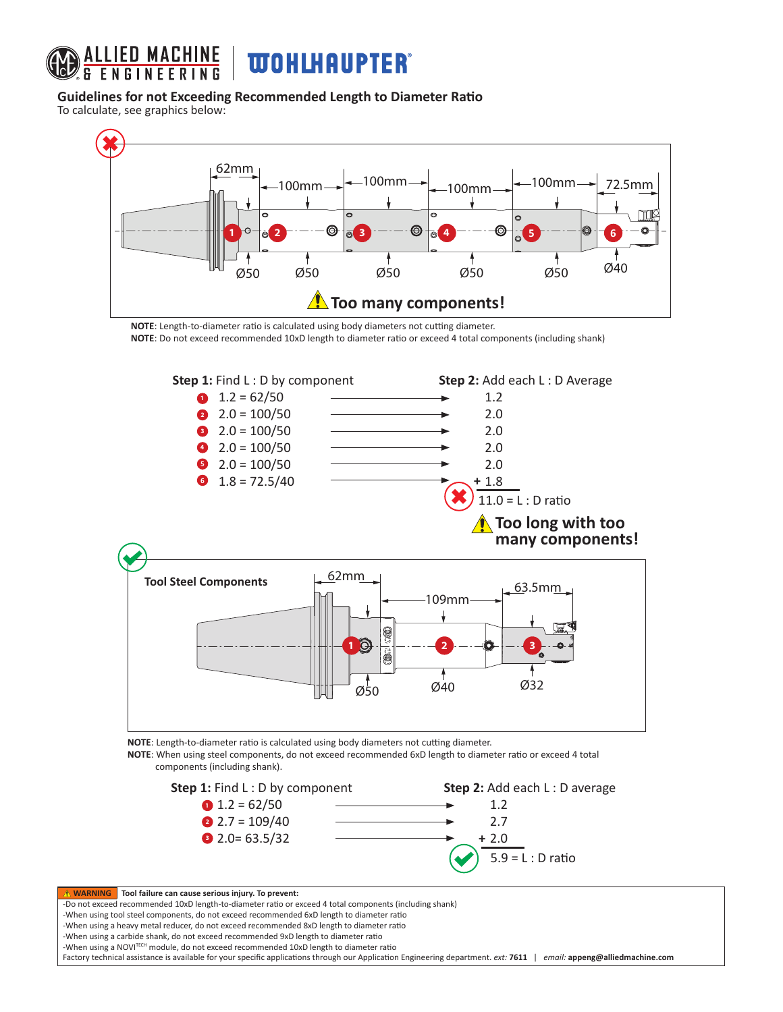

## **Guidelines for not Exceeding Recommended Length to Diameter Ratio**

To calculate, see graphics below:



**NOTE**: Length-to-diameter ratio is calculated using body diameters not cutting diameter. **NOTE**: Do not exceed recommended 10xD length to diameter ratio or exceed 4 total components (including shank)



**NOTE**: Length-to-diameter ratio is calculated using body diameters not cutting diameter.

**NOTE**: When using steel components, do not exceed recommended 6xD length to diameter ratio or exceed 4 total components (including shank).



**Tool failure can cause serious injury. To prevent:** -Do not exceed recommended 10xD length-to-diameter ratio or exceed 4 total components (including shank) -When using tool steel components, do not exceed recommended 6xD length to diameter ratio -When using a heavy metal reducer, do not exceed recommended 8xD length to diameter ratio -When using a carbide shank, do not exceed recommended 9xD length to diameter ratio -When using a NOVITECH module, do not exceed recommended 10xD length to diameter ratio Factory technical assistance is available for your specific applications through our Application Engineering department. *ext:* **7611** | *email:* **appeng@alliedmachine.com**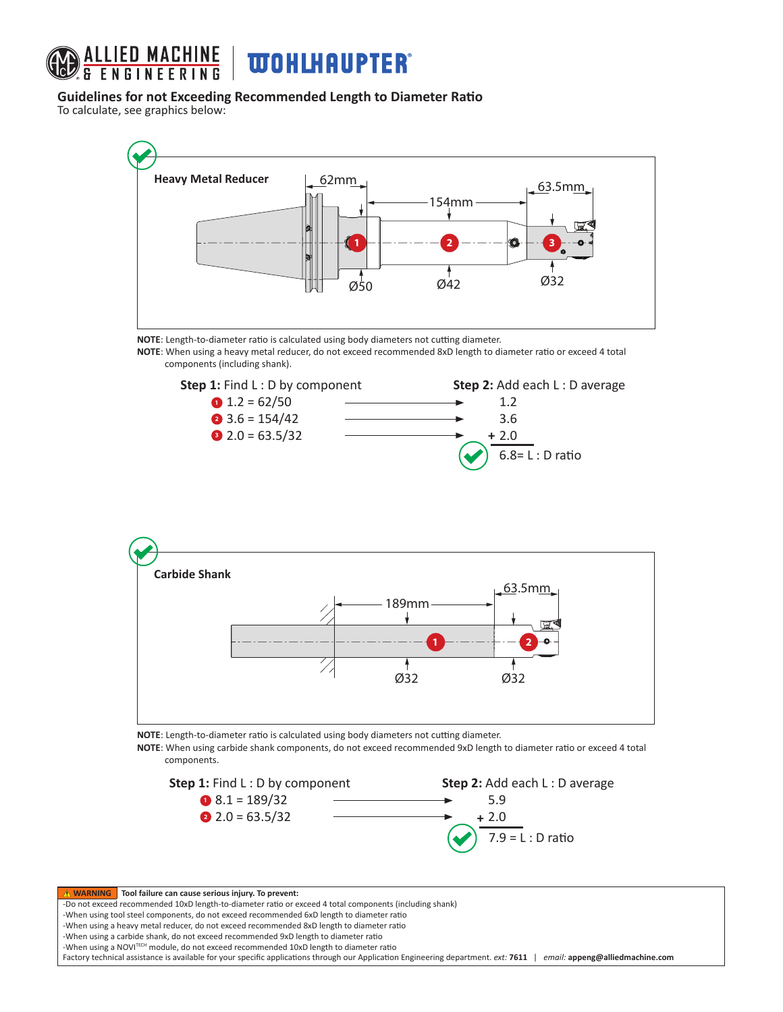

## **Guidelines for not Exceeding Recommended Length to Diameter Ratio**

To calculate, see graphics below:



**NOTE**: Length-to-diameter ratio is calculated using body diameters not cutting diameter.

**NOTE**: When using a heavy metal reducer, do not exceed recommended 8xD length to diameter ratio or exceed 4 total components (including shank).





**NOTE**: Length-to-diameter ratio is calculated using body diameters not cutting diameter.

**NOTE**: When using carbide shank components, do not exceed recommended 9xD length to diameter ratio or exceed 4 total components.



**Tool failure can cause serious injury. To prevent:** -Do not exceed recommended 10xD length-to-diameter ratio or exceed 4 total components (including shank) -When using tool steel components, do not exceed recommended 6xD length to diameter ratio -When using a heavy metal reducer, do not exceed recommended 8xD length to diameter ratio -When using a carbide shank, do not exceed recommended 9xD length to diameter ratio -When using a NOVITECH module, do not exceed recommended 10xD length to diameter ratio Factory technical assistance is available for your specific applications through our Application Engineering department. *ext:* **7611** | *email:* **appeng@alliedmachine.com**